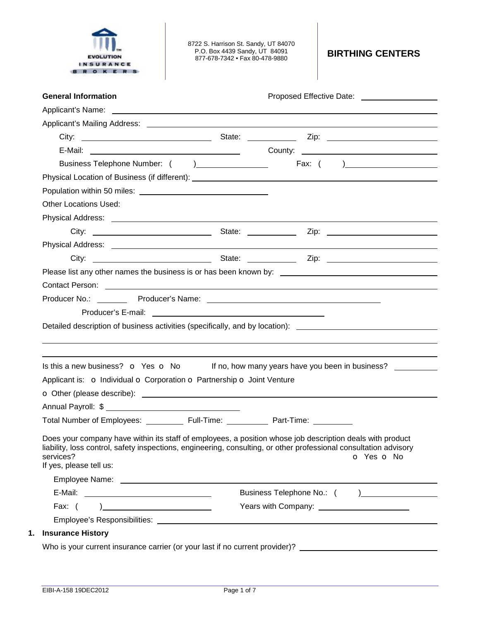

8722 S. Harrison St. Sandy, UT 84070 P.O. Box 4439 Sandy, UT 84091 877-678-7342 • Fax 80-478-9880 **BIRTHING CENTERS** 

|                                                                                                                                                                                                                                                                                                                                                                                                         | Proposed Effective Date: _____________________                                                                                                                                                                                       |
|---------------------------------------------------------------------------------------------------------------------------------------------------------------------------------------------------------------------------------------------------------------------------------------------------------------------------------------------------------------------------------------------------------|--------------------------------------------------------------------------------------------------------------------------------------------------------------------------------------------------------------------------------------|
|                                                                                                                                                                                                                                                                                                                                                                                                         | Applicant's Name: <u>example and the set of the set of the set of the set of the set of the set of the set of the set of the set of the set of the set of the set of the set of the set of the set of the set of the set of the </u> |
|                                                                                                                                                                                                                                                                                                                                                                                                         |                                                                                                                                                                                                                                      |
|                                                                                                                                                                                                                                                                                                                                                                                                         |                                                                                                                                                                                                                                      |
|                                                                                                                                                                                                                                                                                                                                                                                                         | E-Mail: 2008. [2010] County: 2008. [2010] County: 2009. [2010] County: 2010. [2010] County: 2010. [2010] County: 2010. [2010] County: 2010. [2010] County: 2010. [2010] County: 2010. [2010] County: 2010. [2010] County: 2010       |
|                                                                                                                                                                                                                                                                                                                                                                                                         |                                                                                                                                                                                                                                      |
|                                                                                                                                                                                                                                                                                                                                                                                                         |                                                                                                                                                                                                                                      |
|                                                                                                                                                                                                                                                                                                                                                                                                         |                                                                                                                                                                                                                                      |
| <b>Other Locations Used:</b>                                                                                                                                                                                                                                                                                                                                                                            |                                                                                                                                                                                                                                      |
|                                                                                                                                                                                                                                                                                                                                                                                                         |                                                                                                                                                                                                                                      |
|                                                                                                                                                                                                                                                                                                                                                                                                         |                                                                                                                                                                                                                                      |
|                                                                                                                                                                                                                                                                                                                                                                                                         |                                                                                                                                                                                                                                      |
|                                                                                                                                                                                                                                                                                                                                                                                                         |                                                                                                                                                                                                                                      |
|                                                                                                                                                                                                                                                                                                                                                                                                         | Please list any other names the business is or has been known by:                                                                                                                                                                    |
|                                                                                                                                                                                                                                                                                                                                                                                                         | Contact Person: example and the contract of the contract of the contract of the contract Person:                                                                                                                                     |
|                                                                                                                                                                                                                                                                                                                                                                                                         | Detailed description of business activities (specifically, and by location): _______________________                                                                                                                                 |
| Is this a new business? $\bullet$ Yes $\bullet$ No If no, how many years have you been in business?<br>Applicant is: o Individual o Corporation o Partnership o Joint Venture                                                                                                                                                                                                                           |                                                                                                                                                                                                                                      |
|                                                                                                                                                                                                                                                                                                                                                                                                         |                                                                                                                                                                                                                                      |
|                                                                                                                                                                                                                                                                                                                                                                                                         |                                                                                                                                                                                                                                      |
| Total Number of Employees: _____________ Full-Time: _____________ Part-Time: __________                                                                                                                                                                                                                                                                                                                 |                                                                                                                                                                                                                                      |
|                                                                                                                                                                                                                                                                                                                                                                                                         | o Yes o No                                                                                                                                                                                                                           |
|                                                                                                                                                                                                                                                                                                                                                                                                         |                                                                                                                                                                                                                                      |
|                                                                                                                                                                                                                                                                                                                                                                                                         |                                                                                                                                                                                                                                      |
| Fax: $($<br>$\begin{picture}(20,10) \put(0,0){\dashbox{0.5}(10,0){ }} \put(15,0){\circle{10}} \put(15,0){\circle{10}} \put(15,0){\circle{10}} \put(15,0){\circle{10}} \put(15,0){\circle{10}} \put(15,0){\circle{10}} \put(15,0){\circle{10}} \put(15,0){\circle{10}} \put(15,0){\circle{10}} \put(15,0){\circle{10}} \put(15,0){\circle{10}} \put(15,0){\circle{10}} \put(15,0){\circle{10}} \put(15,$ | Years with Company: _______________________                                                                                                                                                                                          |
| Does your company have within its staff of employees, a position whose job description deals with product<br>liability, loss control, safety inspections, engineering, consulting, or other professional consultation advisory<br>services?<br>If yes, please tell us:                                                                                                                                  |                                                                                                                                                                                                                                      |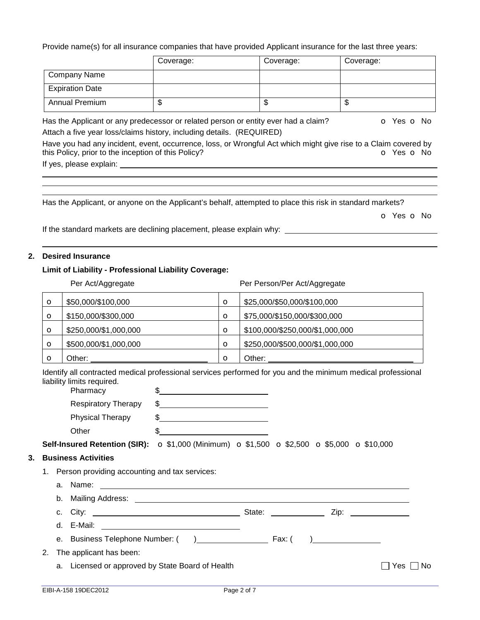Provide name(s) for all insurance companies that have provided Applicant insurance for the last three years:

|                                                                                                                                                                                      | Coverage:                                                                          | Coverage: | Coverage:  |  |  |
|--------------------------------------------------------------------------------------------------------------------------------------------------------------------------------------|------------------------------------------------------------------------------------|-----------|------------|--|--|
| <b>Company Name</b>                                                                                                                                                                  |                                                                                    |           |            |  |  |
| <b>Expiration Date</b>                                                                                                                                                               |                                                                                    |           |            |  |  |
| <b>Annual Premium</b>                                                                                                                                                                | \$                                                                                 | \$        | \$         |  |  |
|                                                                                                                                                                                      | Has the Applicant or any predecessor or related person or entity ever had a claim? |           | O Yes O No |  |  |
|                                                                                                                                                                                      | Attach a five year loss/claims history, including details. (REQUIRED)              |           |            |  |  |
| Have you had any incident, event, occurrence, loss, or Wrongful Act which might give rise to a Claim covered by<br>this Policy, prior to the inception of this Policy?<br>O Yes O No |                                                                                    |           |            |  |  |
| If yes, please explain:                                                                                                                                                              |                                                                                    |           |            |  |  |

Has the Applicant, or anyone on the Applicant's behalf, attempted to place this risk in standard markets?

o Yes o No

If the standard markets are declining placement, please explain why:

### **2. Desired Insurance**

# **Limit of Liability - Professional Liability Coverage:**

Per Act/Aggregate Per Person/Per Act/Aggregate

| $\circ$ | \$50,000/\$100,000    | $\circ$ | \$25,000/\$50,000/\$100,000     |
|---------|-----------------------|---------|---------------------------------|
| O       | \$150,000/\$300,000   | $\circ$ | \$75,000/\$150,000/\$300,000    |
| $\circ$ | \$250,000/\$1,000,000 | $\circ$ | \$100,000/\$250,000/\$1,000,000 |
| O       | \$500,000/\$1,000,000 | $\circ$ | \$250,000/\$500,000/\$1,000,000 |
|         | Other:                | O       | Other:                          |

Identify all contracted medical professional services performed for you and the minimum medical professional liability limits required.

| Pharmacy                   |  |
|----------------------------|--|
| <b>Respiratory Therapy</b> |  |
| <b>Physical Therapy</b>    |  |
| :Dther                     |  |

**Self-Insured Retention (SIR):** o \$1,000 (Minimum) o \$1,500 o \$2,500 o \$5,000 o \$10,000

## **3. Business Activities**

- 1. Person providing accounting and tax services:
	- a. Name: b. Mailing Address:

| ັນ.          | mannig Addicos. |  |  |
|--------------|-----------------|--|--|
| $\sim$<br>v. | -               |  |  |

- d. E-Mail:
- e. Business Telephone Number: ( ) Fax: ( )
- 2. The applicant has been:
	- a. Licensed or approved by State Board of Health  $\Box$  Yes  $\Box$  No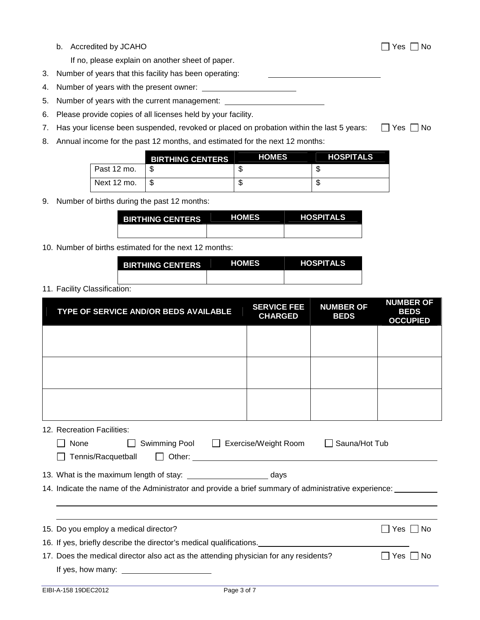| Accredited by JCAHO<br>b. |
|---------------------------|
|---------------------------|

If no, please explain on another sheet of paper.

3. Number of years that this facility has been operating:

- 4. Number of years with the present owner:
- 5. Number of years with the current management:
- 6. Please provide copies of all licenses held by your facility.
- 7. Has your license been suspended, revoked or placed on probation within the last 5 years:  $\Box$  Yes  $\Box$  No
- 8. Annual income for the past 12 months, and estimated for the next 12 months:

|             | <b>BIRTHING CENTERS</b> | <b>HOMES</b> | <b>HOSPITALS</b> |
|-------------|-------------------------|--------------|------------------|
| Past 12 mo. |                         |              |                  |
| Next 12 mo. |                         |              |                  |

9. Number of births during the past 12 months:

| <b>BIRTHING CENTERS</b> | <b>HOMES</b> | <b>HOSPITALS</b> |
|-------------------------|--------------|------------------|
|                         |              |                  |

10. Number of births estimated for the next 12 months:

| <b>BIRTHING CENTERS</b> | <b>HOMES</b> | <b>HOSPITALS</b> |
|-------------------------|--------------|------------------|
|                         |              |                  |

11. Facility Classification:

| TYPE OF SERVICE AND/OR BEDS AVAILABLE                                                                                                                                                            | <b>SERVICE FEE</b><br><b>CHARGED</b> | <b>NUMBER OF</b><br><b>BEDS</b> | <b>NUMBER OF</b><br><b>BEDS</b><br><b>OCCUPIED</b> |  |
|--------------------------------------------------------------------------------------------------------------------------------------------------------------------------------------------------|--------------------------------------|---------------------------------|----------------------------------------------------|--|
|                                                                                                                                                                                                  |                                      |                                 |                                                    |  |
|                                                                                                                                                                                                  |                                      |                                 |                                                    |  |
|                                                                                                                                                                                                  |                                      |                                 |                                                    |  |
| 12. Recreation Facilities:<br>Swimming Pool □ Exercise/Weight Room<br>Sauna/Hot Tub<br>None<br>$\mathbf{1}$<br>Tennis/Racquetball                                                                |                                      |                                 |                                                    |  |
| 13. What is the maximum length of stay: ___________________________ days<br>14. Indicate the name of the Administrator and provide a brief summary of administrative experience: ________        |                                      |                                 |                                                    |  |
| 15. Do you employ a medical director?<br>∣Yes I INo                                                                                                                                              |                                      |                                 |                                                    |  |
| 16. If yes, briefly describe the director's medical qualifications.<br>17. Does the medical director also act as the attending physician for any residents?<br>l IYes I INo<br>If yes, how many: |                                      |                                 |                                                    |  |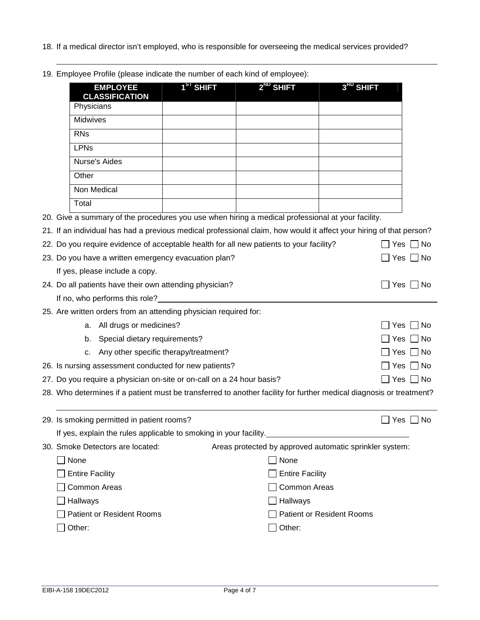- 18. If a medical director isn't employed, who is responsible for overseeing the medical services provided?
- 19. Employee Profile (please indicate the number of each kind of employee):

| <b>EMPLOYEE</b><br><b>CLASSIFICATION</b>                                                                            | 1 <sup>31</sup> SHIFT | $2^{ND}$ SHIFT                                          | 3 <sup>KD</sup> SHIFT            |                    |
|---------------------------------------------------------------------------------------------------------------------|-----------------------|---------------------------------------------------------|----------------------------------|--------------------|
| Physicians                                                                                                          |                       |                                                         |                                  |                    |
| Midwives                                                                                                            |                       |                                                         |                                  |                    |
| <b>RNs</b>                                                                                                          |                       |                                                         |                                  |                    |
| <b>LPNs</b>                                                                                                         |                       |                                                         |                                  |                    |
| <b>Nurse's Aides</b>                                                                                                |                       |                                                         |                                  |                    |
| Other                                                                                                               |                       |                                                         |                                  |                    |
| Non Medical                                                                                                         |                       |                                                         |                                  |                    |
| Total                                                                                                               |                       |                                                         |                                  |                    |
| 20. Give a summary of the procedures you use when hiring a medical professional at your facility.                   |                       |                                                         |                                  |                    |
| 21. If an individual has had a previous medical professional claim, how would it affect your hiring of that person? |                       |                                                         |                                  |                    |
| 22. Do you require evidence of acceptable health for all new patients to your facility?                             |                       |                                                         |                                  | Yes  <br>_  No     |
| 23. Do you have a written emergency evacuation plan?                                                                |                       |                                                         |                                  | $Yes \mid \mid No$ |
| If yes, please include a copy.                                                                                      |                       |                                                         |                                  |                    |
| 24. Do all patients have their own attending physician?                                                             |                       |                                                         |                                  | Yes  <br>l No      |
| If no, who performs this role?                                                                                      |                       |                                                         |                                  |                    |
| 25. Are written orders from an attending physician required for:                                                    |                       |                                                         |                                  |                    |
| All drugs or medicines?<br>a.                                                                                       |                       |                                                         |                                  | ∩ No<br>Yes        |
| Special dietary requirements?<br>b.                                                                                 |                       |                                                         |                                  | ∐ No<br>Yes        |
| Any other specific therapy/treatment?<br>с.                                                                         |                       |                                                         |                                  | Yes<br>_  No       |
| 26. Is nursing assessment conducted for new patients?                                                               |                       |                                                         |                                  | Yes<br>  No        |
| 27. Do you require a physician on-site or on-call on a 24 hour basis?                                               |                       |                                                         |                                  | $\Box$ No<br>Yes   |
| 28. Who determines if a patient must be transferred to another facility for further medical diagnosis or treatment? |                       |                                                         |                                  |                    |
|                                                                                                                     |                       |                                                         |                                  |                    |
| 29. Is smoking permitted in patient rooms?                                                                          |                       |                                                         |                                  | l No<br>Yes        |
| If yes, explain the rules applicable to smoking in your facility.                                                   |                       |                                                         |                                  |                    |
| 30. Smoke Detectors are located:                                                                                    |                       | Areas protected by approved automatic sprinkler system: |                                  |                    |
| None                                                                                                                |                       | None                                                    |                                  |                    |
| <b>Entire Facility</b>                                                                                              |                       | <b>Entire Facility</b>                                  |                                  |                    |
| <b>Common Areas</b>                                                                                                 |                       | <b>Common Areas</b>                                     |                                  |                    |
| Hallways                                                                                                            |                       | Hallways                                                |                                  |                    |
| <b>Patient or Resident Rooms</b>                                                                                    |                       |                                                         | <b>Patient or Resident Rooms</b> |                    |
| Other:                                                                                                              |                       | Other:                                                  |                                  |                    |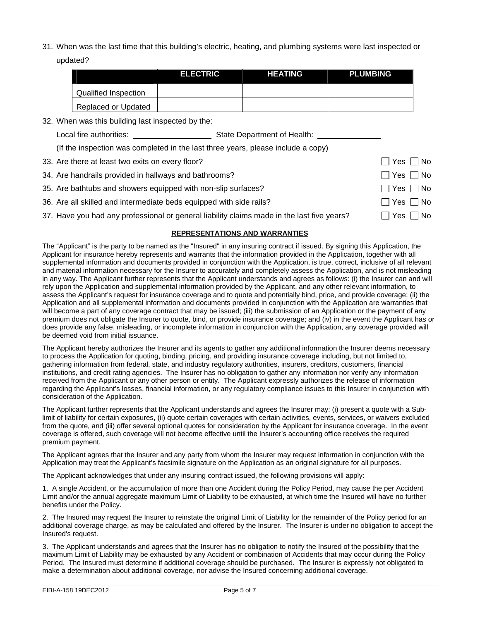31. When was the last time that this building's electric, heating, and plumbing systems were last inspected or updated?

|                      | <b>ELECTRIC</b> | <b>HEATING</b> | <b>PLUMBING</b> |
|----------------------|-----------------|----------------|-----------------|
| Qualified Inspection |                 |                |                 |
| Replaced or Updated  |                 |                |                 |

32. When was this building last inspected by the:

| State Department of Health:<br>Local fire authorities: |  |
|--------------------------------------------------------|--|
|--------------------------------------------------------|--|

(If the inspection was completed in the last three years, please include a copy)

33. Are there at least two exits on every floor?  $\Box$  Yes  $\Box$  Yes  $\Box$  No

| 34. Are handrails provided in hallways and bathrooms? |  |
|-------------------------------------------------------|--|
|-------------------------------------------------------|--|

- 35. Are bathtubs and showers equipped with non-slip surfaces?  $\Box$  Yes  $\Box$  Yes  $\Box$  No
- 36. Are all skilled and intermediate beds equipped with side rails?  $\Box$  Yes  $\Box$  Yes  $\Box$  No
- 37. Have you had any professional or general liability claims made in the last five years?  $\Box$  Yes  $\Box$  No

## **REPRESENTATIONS AND WARRANTIES**

 $\Box$  Yes  $\Box$  No

The "Applicant" is the party to be named as the "Insured" in any insuring contract if issued. By signing this Application, the Applicant for insurance hereby represents and warrants that the information provided in the Application, together with all supplemental information and documents provided in conjunction with the Application, is true, correct, inclusive of all relevant and material information necessary for the Insurer to accurately and completely assess the Application, and is not misleading in any way. The Applicant further represents that the Applicant understands and agrees as follows: (i) the Insurer can and will rely upon the Application and supplemental information provided by the Applicant, and any other relevant information, to assess the Applicant's request for insurance coverage and to quote and potentially bind, price, and provide coverage; (ii) the Application and all supplemental information and documents provided in conjunction with the Application are warranties that will become a part of any coverage contract that may be issued; (iii) the submission of an Application or the payment of any premium does not obligate the Insurer to quote, bind, or provide insurance coverage; and (iv) in the event the Applicant has or does provide any false, misleading, or incomplete information in conjunction with the Application, any coverage provided will be deemed void from initial issuance.

The Applicant hereby authorizes the Insurer and its agents to gather any additional information the Insurer deems necessary to process the Application for quoting, binding, pricing, and providing insurance coverage including, but not limited to, gathering information from federal, state, and industry regulatory authorities, insurers, creditors, customers, financial institutions, and credit rating agencies. The Insurer has no obligation to gather any information nor verify any information received from the Applicant or any other person or entity. The Applicant expressly authorizes the release of information regarding the Applicant's losses, financial information, or any regulatory compliance issues to this Insurer in conjunction with consideration of the Application.

The Applicant further represents that the Applicant understands and agrees the Insurer may: (i) present a quote with a Sublimit of liability for certain exposures, (ii) quote certain coverages with certain activities, events, services, or waivers excluded from the quote, and (iii) offer several optional quotes for consideration by the Applicant for insurance coverage. In the event coverage is offered, such coverage will not become effective until the Insurer's accounting office receives the required premium payment.

The Applicant agrees that the Insurer and any party from whom the Insurer may request information in conjunction with the Application may treat the Applicant's facsimile signature on the Application as an original signature for all purposes.

The Applicant acknowledges that under any insuring contract issued, the following provisions will apply:

1. A single Accident, or the accumulation of more than one Accident during the Policy Period, may cause the per Accident Limit and/or the annual aggregate maximum Limit of Liability to be exhausted, at which time the Insured will have no further benefits under the Policy.

2. The Insured may request the Insurer to reinstate the original Limit of Liability for the remainder of the Policy period for an additional coverage charge, as may be calculated and offered by the Insurer. The Insurer is under no obligation to accept the Insured's request.

3. The Applicant understands and agrees that the Insurer has no obligation to notify the Insured of the possibility that the maximum Limit of Liability may be exhausted by any Accident or combination of Accidents that may occur during the Policy Period. The Insured must determine if additional coverage should be purchased. The Insurer is expressly not obligated to make a determination about additional coverage, nor advise the Insured concerning additional coverage.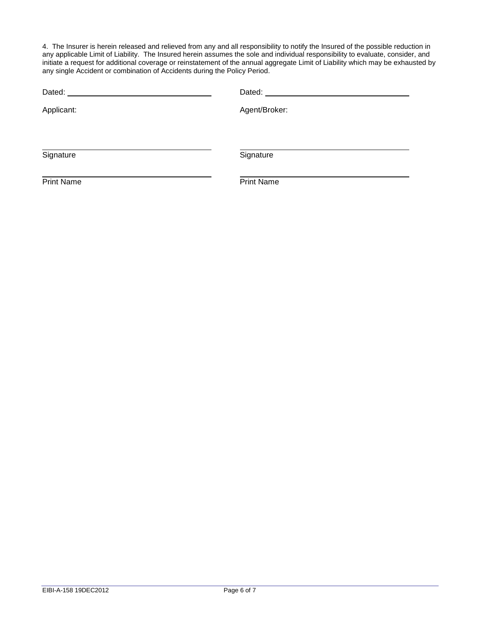4. The Insurer is herein released and relieved from any and all responsibility to notify the Insured of the possible reduction in any applicable Limit of Liability. The Insured herein assumes the sole and individual responsibility to evaluate, consider, and initiate a request for additional coverage or reinstatement of the annual aggregate Limit of Liability which may be exhausted by any single Accident or combination of Accidents during the Policy Period.

| Dated: <u>University</u> |                   |  |  |  |
|--------------------------|-------------------|--|--|--|
| Applicant:               | Agent/Broker:     |  |  |  |
|                          |                   |  |  |  |
| Signature                | Signature         |  |  |  |
| <b>Print Name</b>        | <b>Print Name</b> |  |  |  |